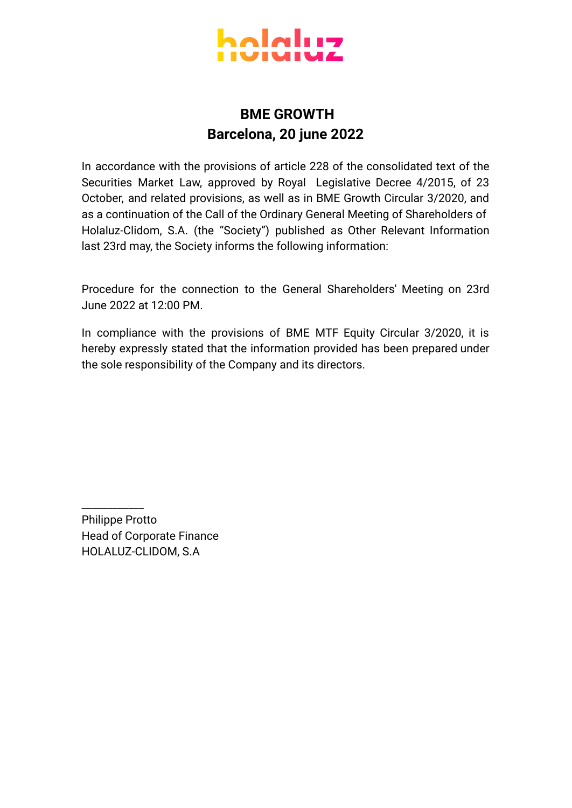

## **BME GROWTH Barcelona, 20 june 2022**

In accordance with the provisions of article 228 of the consolidated text of the Securities Market Law, approved by Royal Legislative Decree 4/2015, of 23 October, and related provisions, as well as in BME Growth Circular 3/2020, and as a continuation of the Call of the Ordinary General Meeting of Shareholders of Holaluz-Clidom, S.A. (the "Society") published as Other Relevant Information last 23rd may, the Society informs the following information:

Procedure for the connection to the General Shareholders' Meeting on 23rd June 2022 at 12:00 PM.

In compliance with the provisions of BME MTF Equity Circular 3/2020, it is hereby expressly stated that the information provided has been prepared under the sole responsibility of the Company and its directors.

Philippe Protto Head of Corporate Finance HOLALUZ-CLIDOM, S.A

\_\_\_\_\_\_\_\_\_\_\_\_